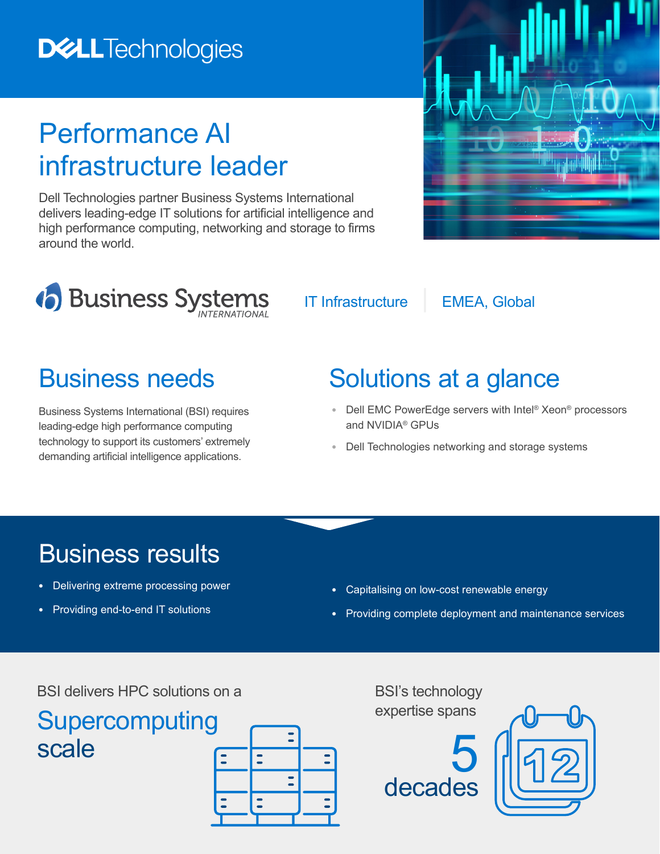### **DELLTechnologies**

## Performance AI infrastructure leader

Dell Technologies partner Business Systems International delivers leading-edge IT solutions for artificial intelligence and high performance computing, networking and storage to firms around the world.





IT Infrastructure | EMEA, Global

Business Systems International (BSI) requires leading-edge high performance computing technology to support its customers' extremely demanding artificial intelligence applications.

#### Business needs Solutions at a glance

- **•** Dell EMC PowerEdge servers with Intel® Xeon® processors and NVIDIA® GPUs
- **•** Dell Technologies networking and storage systems

#### Business results

- **•** Delivering extreme processing power
- **•** Providing end-to-end IT solutions
- **•** Capitalising on low-cost renewable energy
- **•** Providing complete deployment and maintenance services

BSI delivers HPC solutions on a

# **Supercomputing**



BSI's technology expertise spans



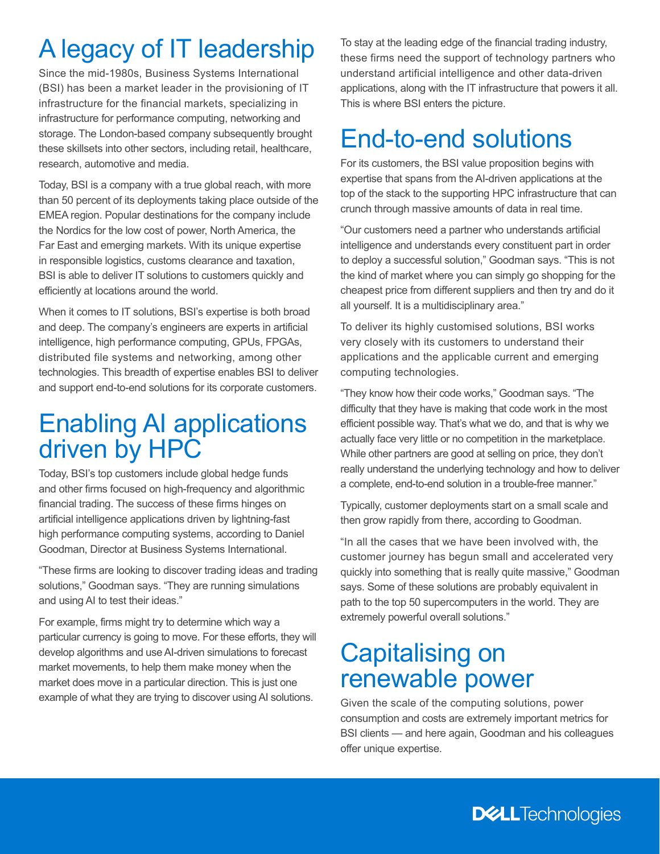#### A legacy of IT leadership

Since the mid-1980s, Business Systems International (BSI) has been a market leader in the provisioning of IT infrastructure for the financial markets, specializing in infrastructure for performance computing, networking and storage. The London-based company subsequently brought these skillsets into other sectors, including retail, healthcare, research, automotive and media.

Today, BSI is a company with a true global reach, with more than 50 percent of its deployments taking place outside of the EMEA region. Popular destinations for the company include the Nordics for the low cost of power, North America, the Far East and emerging markets. With its unique expertise in responsible logistics, customs clearance and taxation, BSI is able to deliver IT solutions to customers quickly and efficiently at locations around the world.

When it comes to IT solutions, BSI's expertise is both broad and deep. The company's engineers are experts in artificial intelligence, high performance computing, GPUs, FPGAs, distributed file systems and networking, among other technologies. This breadth of expertise enables BSI to deliver and support end-to-end solutions for its corporate customers.

#### Enabling AI applications driven by HPC

Today, BSI's top customers include global hedge funds and other firms focused on high-frequency and algorithmic financial trading. The success of these firms hinges on artificial intelligence applications driven by lightning-fast high performance computing systems, according to Daniel Goodman, Director at Business Systems International.

"These firms are looking to discover trading ideas and trading solutions," Goodman says. "They are running simulations and using AI to test their ideas."

For example, firms might try to determine which way a particular currency is going to move. For these efforts, they will develop algorithms and use AI-driven simulations to forecast market movements, to help them make money when the market does move in a particular direction. This is just one example of what they are trying to discover using AI solutions.

To stay at the leading edge of the financial trading industry, these firms need the support of technology partners who understand artificial intelligence and other data-driven applications, along with the IT infrastructure that powers it all. This is where BSI enters the picture.

#### End-to-end solutions

For its customers, the BSI value proposition begins with expertise that spans from the AI-driven applications at the top of the stack to the supporting HPC infrastructure that can crunch through massive amounts of data in real time.

"Our customers need a partner who understands artificial intelligence and understands every constituent part in order to deploy a successful solution," Goodman says. "This is not the kind of market where you can simply go shopping for the cheapest price from different suppliers and then try and do it all yourself. It is a multidisciplinary area."

To deliver its highly customised solutions, BSI works very closely with its customers to understand their applications and the applicable current and emerging computing technologies.

"They know how their code works," Goodman says. "The difficulty that they have is making that code work in the most efficient possible way. That's what we do, and that is why we actually face very little or no competition in the marketplace. While other partners are good at selling on price, they don't really understand the underlying technology and how to deliver a complete, end-to-end solution in a trouble-free manner."

Typically, customer deployments start on a small scale and then grow rapidly from there, according to Goodman.

"In all the cases that we have been involved with, the customer journey has begun small and accelerated very quickly into something that is really quite massive," Goodman says. Some of these solutions are probably equivalent in path to the top 50 supercomputers in the world. They are extremely powerful overall solutions."

#### Capitalising on renewable power

Given the scale of the computing solutions, power consumption and costs are extremely important metrics for BSI clients — and here again, Goodman and his colleagues offer unique expertise.